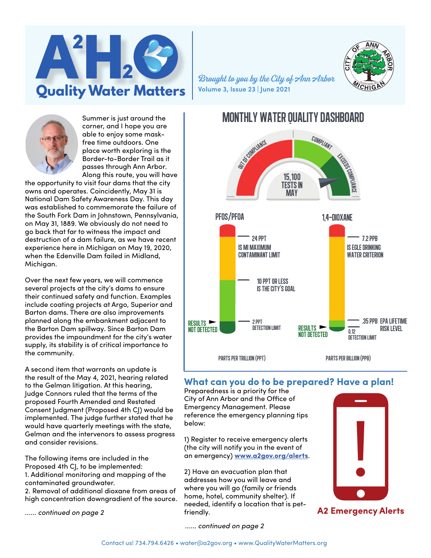

Summer is just around the corner, and I hope you are able to enjoy some maskfree time outdoors. One place worth exploring is the Border-to-Border Trail as it passes through Ann Arbor. Along this route, you will have

the opportunity to visit four dams that the city owns and operates. Coincidently, May 31 is National Dam Safety Awareness Day. This day was established to commemorate the failure of the South Fork Dam in Johnstown, Pennsylvania, on May 31, 1889. We obviously do not need to go back that far to witness the impact and destruction of a dam failure, as we have recent experience here in Michigan on May 19, 2020, when the Edenville Dam failed in Midland, Michigan.

Over the next few years, we will commence several projects at the city's dams to ensure their continued safety and function. Examples include coating projects at Argo, Superior and Barton dams. There are also improvements planned along the embankment adjacent to the Barton Dam spillway. Since Barton Dam provides the impoundment for the city's water supply, its stability is of critical importance to the community.

A second item that warrants an update is the result of the May 4, 2021, hearing related to the Gelman litigation. At this hearing, Judge Connors ruled that the terms of the proposed Fourth Amended and Restated Consent Judgment (Proposed 4th CJ) would be implemented. The judge further stated that he would have quarterly meetings with the state, Gelman and the intervenors to assess progress and consider revisions.

The following items are included in the Proposed 4th CJ, to be implemented: 1. Additional monitoring and mapping of the contaminated groundwater.

2. Removal of additional dioxane from areas of high concentration downgradient of the source.

*...... continued on page 2*



# **What can you do to be prepared? Have a plan!**

Preparedness is a priority for the City of Ann Arbor and the Office of Emergency Management. Please reference the emergency planning tips below:

**Volume 3, Issue 23 | June 2021**

1) Register to receive emergency alerts (the city will notify you in the event of an emergency) **[www.a2gov.org/alerts](http://www.a2gov.org/alerts)**.

2) Have an evacuation plan that addresses how you will leave and where you will go (family or friends home, hotel, community shelter). If needed, identify a location that is petfriendly.



**A2 Emergency Alerts**

*...... continued on page 2*